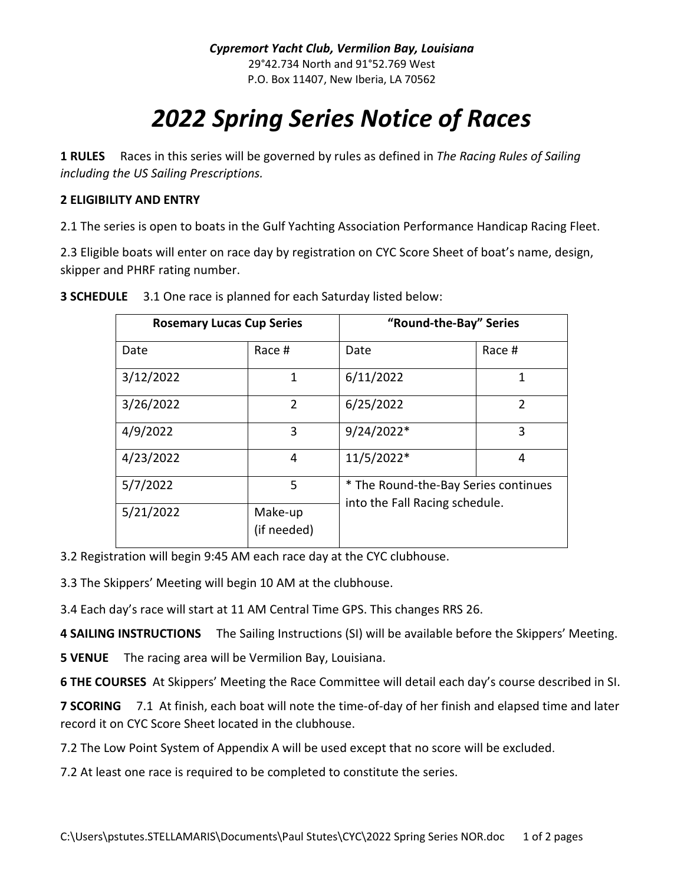## *2022 Spring Series Notice of Races*

**1 RULES** Races in this series will be governed by rules as defined in *The Racing Rules of Sailing including the US Sailing Prescriptions.*

## **2 ELIGIBILITY AND ENTRY**

2.1 The series is open to boats in the Gulf Yachting Association Performance Handicap Racing Fleet.

2.3 Eligible boats will enter on race day by registration on CYC Score Sheet of boat's name, design, skipper and PHRF rating number.

| <b>Rosemary Lucas Cup Series</b> |                        | "Round-the-Bay" Series |                                                                        |  |
|----------------------------------|------------------------|------------------------|------------------------------------------------------------------------|--|
| Date                             | Race #                 | Date                   | Race #                                                                 |  |
| 3/12/2022                        | 1                      | 6/11/2022              | 1                                                                      |  |
| 3/26/2022                        | $\overline{2}$         | 6/25/2022              | $\overline{2}$                                                         |  |
| 4/9/2022                         | 3                      | 9/24/2022*             | 3                                                                      |  |
| 4/23/2022                        | 4                      | 11/5/2022*             | 4                                                                      |  |
| 5/7/2022                         | 5                      |                        | * The Round-the-Bay Series continues<br>into the Fall Racing schedule. |  |
| 5/21/2022                        | Make-up<br>(if needed) |                        |                                                                        |  |

**3 SCHEDULE** 3.1 One race is planned for each Saturday listed below:

3.2 Registration will begin 9:45 AM each race day at the CYC clubhouse.

3.3 The Skippers' Meeting will begin 10 AM at the clubhouse.

3.4 Each day's race will start at 11 AM Central Time GPS. This changes RRS 26.

**4 SAILING INSTRUCTIONS** The Sailing Instructions (SI) will be available before the Skippers' Meeting.

**5 VENUE** The racing area will be Vermilion Bay, Louisiana.

**6 THE COURSES** At Skippers' Meeting the Race Committee will detail each day's course described in SI.

**7 SCORING** 7.1 At finish, each boat will note the time-of-day of her finish and elapsed time and later record it on CYC Score Sheet located in the clubhouse.

7.2 The Low Point System of Appendix A will be used except that no score will be excluded.

7.2 At least one race is required to be completed to constitute the series.